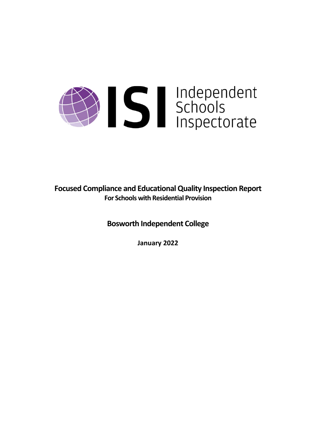# Summerschools<br>Schools<br>Inspectorate

**Focused Compliance and EducationalQuality Inspection Report For Schools with Residential Provision**

**Bosworth Independent College**

**January 2022**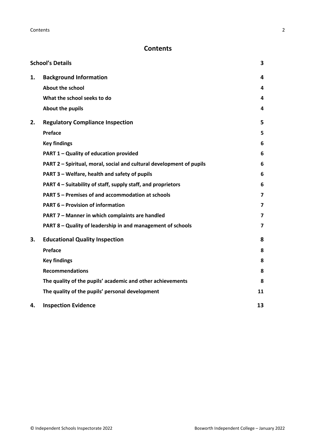# **Contents**

|    | <b>School's Details</b>                                              | 3  |
|----|----------------------------------------------------------------------|----|
| 1. | <b>Background Information</b>                                        | 4  |
|    | <b>About the school</b>                                              | 4  |
|    | What the school seeks to do                                          | 4  |
|    | About the pupils                                                     | 4  |
| 2. | <b>Regulatory Compliance Inspection</b>                              | 5  |
|    | Preface                                                              | 5  |
|    | <b>Key findings</b>                                                  | 6  |
|    | PART 1 - Quality of education provided                               | 6  |
|    | PART 2 - Spiritual, moral, social and cultural development of pupils | 6  |
|    | PART 3 - Welfare, health and safety of pupils                        | 6  |
|    | PART 4 – Suitability of staff, supply staff, and proprietors         | 6  |
|    | PART 5 - Premises of and accommodation at schools                    | 7  |
|    | <b>PART 6 - Provision of information</b>                             | 7  |
|    | PART 7 - Manner in which complaints are handled                      | 7  |
|    | PART 8 - Quality of leadership in and management of schools          | 7  |
| 3. | <b>Educational Quality Inspection</b>                                | 8  |
|    | Preface                                                              | 8  |
|    | <b>Key findings</b>                                                  | 8  |
|    | <b>Recommendations</b>                                               | 8  |
|    | The quality of the pupils' academic and other achievements           | 8  |
|    | The quality of the pupils' personal development                      | 11 |
| 4. | <b>Inspection Evidence</b>                                           | 13 |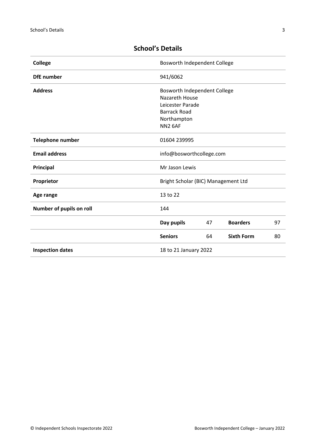| <b>College</b>           | Bosworth Independent College                                                                                                    |    |                   |    |
|--------------------------|---------------------------------------------------------------------------------------------------------------------------------|----|-------------------|----|
| <b>DfE</b> number        | 941/6062                                                                                                                        |    |                   |    |
| <b>Address</b>           | Bosworth Independent College<br>Nazareth House<br>Leicester Parade<br><b>Barrack Road</b><br>Northampton<br>NN <sub>2</sub> 6AF |    |                   |    |
| <b>Telephone number</b>  | 01604 239995                                                                                                                    |    |                   |    |
| <b>Email address</b>     | info@bosworthcollege.com                                                                                                        |    |                   |    |
| Principal                | Mr Jason Lewis                                                                                                                  |    |                   |    |
| Proprietor               | Bright Scholar (BIC) Management Ltd                                                                                             |    |                   |    |
| Age range                | 13 to 22                                                                                                                        |    |                   |    |
| Number of pupils on roll | 144                                                                                                                             |    |                   |    |
|                          | Day pupils                                                                                                                      | 47 | <b>Boarders</b>   | 97 |
|                          | <b>Seniors</b>                                                                                                                  | 64 | <b>Sixth Form</b> | 80 |
| <b>Inspection dates</b>  | 18 to 21 January 2022                                                                                                           |    |                   |    |

# <span id="page-2-0"></span>**School's Details**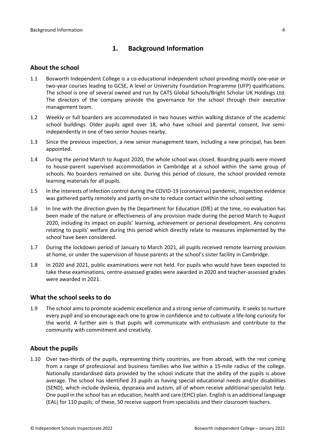## <span id="page-3-0"></span>**1. Background Information**

#### <span id="page-3-1"></span>**About the school**

- 1.1 Bosworth Independent College is a co-educational independent school providing mostly one-year or two-year courses leading to GCSE, A level or University Foundation Programme (UFP) qualifications. The school is one of several owned and run by CATS Global Schools/Bright Scholar UK Holdings Ltd. The directors of the company provide the governance for the school through their executive management team.
- 1.2 Weekly or full boarders are accommodated in two houses within walking distance of the academic school buildings. Older pupils aged over 18, who have school and parental consent, live semiindependently in one of two senior houses nearby.
- 1.3 Since the previous inspection, a new senior management team, including a new principal, has been appointed.
- 1.4 During the period March to August 2020, the whole school was closed. Boarding pupils were moved to house-parent supervised accommodation in Cambridge at a school within the same group of schools. No boarders remained on site. During this period of closure, the school provided remote learning materials for all pupils.
- 1.5 In the interests of infection control during the COVID-19 (coronavirus) pandemic, inspection evidence was gathered partly remotely and partly on-site to reduce contact within the school setting.
- 1.6 In line with the direction given by the Department for Education (DfE) at the time, no evaluation has been made of the nature or effectiveness of any provision made during the period March to August 2020, including its impact on pupils' learning, achievement or personal development. Any concerns relating to pupils' welfare during this period which directly relate to measures implemented by the school have been considered.
- 1.7 During the lockdown period of January to March 2021, all pupils received remote learning provision at home, or under the supervision of house parents at the school's sister facility in Cambridge.
- 1.8 In 2020 and 2021, public examinations were not held. For pupils who would have been expected to take these examinations, centre-assessed grades were awarded in 2020 and teacher-assessed grades were awarded in 2021.

#### <span id="page-3-2"></span>**What the school seeks to do**

1.9 The school aims to promote academic excellence and a strong sense of community. It seeks to nurture every pupil and so encourage each one to grow in confidence and to cultivate a life-long curiosity for the world. A further aim is that pupils will communicate with enthusiasm and contribute to the community with commitment and creativity.

#### <span id="page-3-3"></span>**About the pupils**

1.10 Over two-thirds of the pupils, representing thirty countries, are from abroad, with the rest coming from a range of professional and business families who live within a 15-mile radius of the college. Nationally standardised data provided by the school indicate that the ability of the pupils is above average. The school has identified 23 pupils as having special educational needs and/or disabilities (SEND), which include dyslexia, dyspraxia and autism, all of whom receive additional specialist help. One pupil in the school has an education, health and care (EHC) plan. English is an additional language (EAL) for 110 pupils; of these, 50 receive support from specialists and their classroom teachers.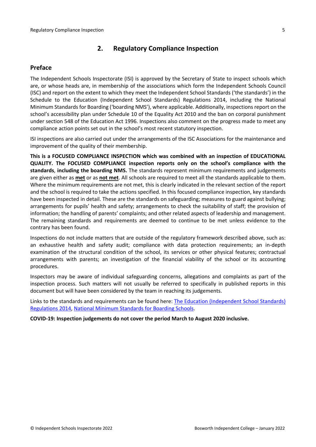## <span id="page-4-0"></span>**2. Regulatory Compliance Inspection**

### <span id="page-4-1"></span>**Preface**

The Independent Schools Inspectorate (ISI) is approved by the Secretary of State to inspect schools which are, or whose heads are, in membership of the associations which form the Independent Schools Council (ISC) and report on the extent to which they meet the Independent School Standards ('the standards') in the Schedule to the Education (Independent School Standards) Regulations 2014, including the National Minimum Standards for Boarding ('boarding NMS'), where applicable. Additionally, inspections report on the school's accessibility plan under Schedule 10 of the Equality Act 2010 and the ban on corporal punishment under section 548 of the Education Act 1996. Inspections also comment on the progress made to meet any compliance action points set out in the school's most recent statutory inspection.

ISI inspections are also carried out under the arrangements of the ISC Associations for the maintenance and improvement of the quality of their membership.

**This is a FOCUSED COMPLIANCE INSPECTION which was combined with an inspection of EDUCATIONAL QUALITY. The FOCUSED COMPLIANCE inspection reports only on the school's compliance with the standards**, **including the boarding NMS.** The standards represent minimum requirements and judgements are given either as **met** or as **not met**. All schools are required to meet all the standards applicable to them. Where the minimum requirements are not met, this is clearly indicated in the relevant section of the report and the school is required to take the actions specified. In this focused compliance inspection, key standards have been inspected in detail. These are the standards on safeguarding; measures to guard against bullying; arrangements for pupils' health and safety; arrangements to check the suitability of staff; the provision of information; the handling of parents' complaints; and other related aspects of leadership and management. The remaining standards and requirements are deemed to continue to be met unless evidence to the contrary has been found.

Inspections do not include matters that are outside of the regulatory framework described above, such as: an exhaustive health and safety audit; compliance with data protection requirements; an in-depth examination of the structural condition of the school, its services or other physical features; contractual arrangements with parents; an investigation of the financial viability of the school or its accounting procedures.

Inspectors may be aware of individual safeguarding concerns, allegations and complaints as part of the inspection process. Such matters will not usually be referred to specifically in published reports in this document but will have been considered by the team in reaching its judgements.

Links to the standards and requirements can be found here: The Education [\(Independent](http://www.legislation.gov.uk/uksi/2014/3283/contents/made) School Standards) [Regulations](http://www.legislation.gov.uk/uksi/2014/3283/contents/made) 2014, National Minimum [Standards](https://www.gov.uk/government/uploads/system/uploads/attachment_data/file/416186/20150319_nms_bs_standards.pdf) for Boarding Schools.

**COVID-19: Inspection judgements do not cover the period March to August 2020 inclusive.**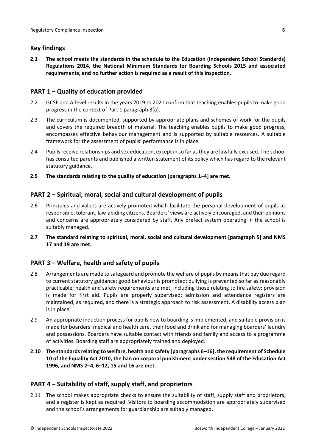## <span id="page-5-0"></span>**Key findings**

**2.1 The school meets the standards in the schedule to the Education (Independent School Standards) Regulations 2014, the National Minimum Standards for Boarding Schools 2015 and associated requirements, and no further action is required as a result of this inspection.**

## <span id="page-5-1"></span>**PART 1 – Quality of education provided**

- 2.2 GCSE and A-level results in the years 2019 to 2021 confirm that teaching enables pupils to make good progress in the context of Part 1 paragraph 3(a).
- 2.3 The curriculum is documented, supported by appropriate plans and schemes of work for the pupils and covers the required breadth of material. The teaching enables pupils to make good progress, encompasses effective behaviour management and is supported by suitable resources. A suitable framework for the assessment of pupils' performance is in place.
- 2.4 Pupils receive relationships and sex education, except in so far as they are lawfully excused. The school has consulted parents and published a written statement of its policy which has regard to the relevant statutory guidance.
- **2.5 The standards relating to the quality of education [paragraphs 1–4] are met.**

## <span id="page-5-2"></span>**PART 2 – Spiritual, moral, social and cultural development of pupils**

- 2.6 Principles and values are actively promoted which facilitate the personal development of pupils as responsible, tolerant, law-abiding citizens. Boarders' views are actively encouraged, and their opinions and concerns are appropriately considered by staff. Any prefect system operating in the school is suitably managed.
- **2.7 The standard relating to spiritual, moral, social and cultural development [paragraph 5] and NMS 17 and 19 are met.**

## <span id="page-5-3"></span>**PART 3 – Welfare, health and safety of pupils**

- 2.8 Arrangements are made to safeguard and promote the welfare of pupils by meansthat pay due regard to current statutory guidance; good behaviour is promoted; bullying is prevented so far as reasonably practicable; health and safety requirements are met, including those relating to fire safety; provision is made for first aid. Pupils are properly supervised; admission and attendance registers are maintained, as required, and there is a strategic approach to risk assessment. A disability access plan is in place.
- 2.9 An appropriate induction process for pupils new to boarding is implemented, and suitable provision is made for boarders' medical and health care, their food and drink and for managing boarders' laundry and possessions. Boarders have suitable contact with friends and family and access to a programme of activities. Boarding staff are appropriately trained and deployed.
- **2.10 The standardsrelating to welfare, health and safety [paragraphs 6–16], the requirement of Schedule 10 of the Equality Act 2010, the ban on corporal punishment under section 548 of the Education Act 1996, and NMS 2–4, 6–12, 15 and 16 are met.**

#### <span id="page-5-4"></span>**PART 4 – Suitability of staff, supply staff, and proprietors**

2.11 The school makes appropriate checks to ensure the suitability of staff, supply staff and proprietors, and a register is kept as required. Visitors to boarding accommodation are appropriately supervised and the school's arrangements for guardianship are suitably managed.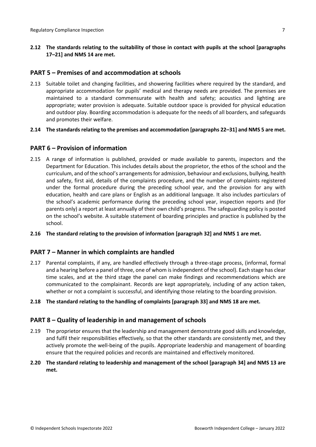**2.12 The standards relating to the suitability of those in contact with pupils at the school [paragraphs 17–21] and NMS 14 are met.**

## <span id="page-6-0"></span>**PART 5 – Premises of and accommodation at schools**

- 2.13 Suitable toilet and changing facilities, and showering facilities where required by the standard, and appropriate accommodation for pupils' medical and therapy needs are provided. The premises are maintained to a standard commensurate with health and safety; acoustics and lighting are appropriate; water provision is adequate. Suitable outdoor space is provided for physical education and outdoor play. Boarding accommodation is adequate for the needs of all boarders, and safeguards and promotes their welfare.
- **2.14 The standardsrelating to the premises and accommodation [paragraphs 22–31] and NMS 5 are met.**

## <span id="page-6-1"></span>**PART 6 – Provision of information**

- 2.15 A range of information is published, provided or made available to parents, inspectors and the Department for Education. This includes details about the proprietor, the ethos of the school and the curriculum, and of the school's arrangements for admission, behaviour and exclusions, bullying, health and safety, first aid, details of the complaints procedure, and the number of complaints registered under the formal procedure during the preceding school year, and the provision for any with education, health and care plans or English as an additional language. It also includes particulars of the school's academic performance during the preceding school year, inspection reports and (for parents only) a report at least annually of their own child's progress. The safeguarding policy is posted on the school's website. A suitable statement of boarding principles and practice is published by the school.
- **2.16 The standard relating to the provision of information [paragraph 32] and NMS 1 are met.**

## <span id="page-6-2"></span>**PART 7 – Manner in which complaints are handled**

- 2.17 Parental complaints, if any, are handled effectively through a three-stage process, (informal, formal and a hearing before a panel of three, one of whom is independent of the school). Each stage has clear time scales, and at the third stage the panel can make findings and recommendations which are communicated to the complainant. Records are kept appropriately, including of any action taken, whether or not a complaint is successful, and identifying those relating to the boarding provision.
- **2.18 The standard relating to the handling of complaints [paragraph 33] and NMS 18 are met.**

## <span id="page-6-3"></span>**PART 8 – Quality of leadership in and management of schools**

- 2.19 The proprietor ensures that the leadership and management demonstrate good skills and knowledge, and fulfil their responsibilities effectively, so that the other standards are consistently met, and they actively promote the well-being of the pupils. Appropriate leadership and management of boarding ensure that the required policies and records are maintained and effectively monitored.
- **2.20 The standard relating to leadership and management of the school [paragraph 34] and NMS 13 are met.**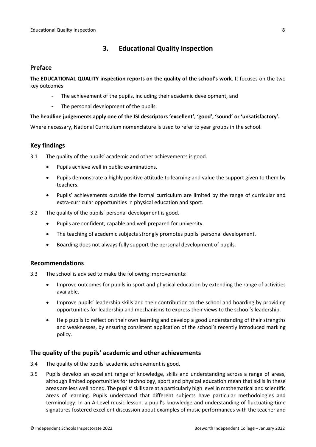## <span id="page-7-0"></span>**3. Educational Quality Inspection**

#### <span id="page-7-1"></span>**Preface**

**The EDUCATIONAL QUALITY inspection reports on the quality of the school's work**. It focuses on the two key outcomes:

- The achievement of the pupils, including their academic development, and
- The personal development of the pupils.

#### **The headline judgements apply one of the ISI descriptors 'excellent', 'good', 'sound' or 'unsatisfactory'.**

Where necessary, National Curriculum nomenclature is used to refer to year groups in the school.

## <span id="page-7-2"></span>**Key findings**

3.1 The quality of the pupils' academic and other achievements is good.

- Pupils achieve well in public examinations.
- Pupils demonstrate a highly positive attitude to learning and value the support given to them by teachers.
- Pupils' achievements outside the formal curriculum are limited by the range of curricular and extra-curricular opportunities in physical education and sport.
- 3.2 The quality of the pupils' personal development is good.
	- Pupils are confident, capable and well prepared for university.
	- The teaching of academic subjects strongly promotes pupils' personal development.
	- Boarding does not always fully support the personal development of pupils.

#### <span id="page-7-3"></span>**Recommendations**

- 3.3 The school is advised to make the following improvements:
	- Improve outcomes for pupils in sport and physical education by extending the range of activities available.
	- Improve pupils' leadership skills and their contribution to the school and boarding by providing opportunities for leadership and mechanisms to express their views to the school's leadership.
	- Help pupils to reflect on their own learning and develop a good understanding of their strengths and weaknesses, by ensuring consistent application of the school's recently introduced marking policy.

#### <span id="page-7-4"></span>**The quality of the pupils' academic and other achievements**

- 3.4 The quality of the pupils' academic achievement is good.
- 3.5 Pupils develop an excellent range of knowledge, skills and understanding across a range of areas, although limited opportunities for technology, sport and physical education mean that skills in these areas are less well honed. The pupils' skills are at a particularly high level in mathematical and scientific areas of learning. Pupils understand that different subjects have particular methodologies and terminology. In an A-Level music lesson, a pupil's knowledge and understanding of fluctuating time signatures fostered excellent discussion about examples of music performances with the teacher and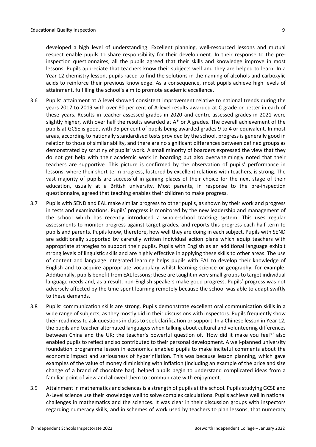developed a high level of understanding. Excellent planning, well-resourced lessons and mutual respect enable pupils to share responsibility for their development. In their response to the preinspection questionnaires, all the pupils agreed that their skills and knowledge improve in most lessons. Pupils appreciate that teachers know their subjects well and they are helped to learn. In a Year 12 chemistry lesson, pupils raced to find the solutions in the naming of alcohols and carboxylic acids to reinforce their previous knowledge. As a consequence, most pupils achieve high levels of attainment, fulfilling the school's aim to promote academic excellence.

- 3.6 Pupils' attainment at A level showed consistent improvement relative to national trends during the years 2017 to 2019 with over 80 per cent of A-level results awarded at C grade or better in each of these years. Results in teacher-assessed grades in 2020 and centre-assessed grades in 2021 were slightly higher, with over half the results awarded at A\* or A grades. The overall achievement of the pupils at GCSE is good, with 95 per cent of pupils being awarded grades 9 to 4 or equivalent. In most areas, according to nationally standardised tests provided by the school, progress is generally good in relation to those of similar ability, and there are no significant differences between defined groups as demonstrated by scrutiny of pupils' work. A small minority of boarders expressed the view that they do not get help with their academic work in boarding but also overwhelmingly noted that their teachers are supportive. This picture is confirmed by the observation of pupils' performance in lessons, where their short-term progress, fostered by excellent relations with teachers, is strong. The vast majority of pupils are successful in gaining places of their choice for the next stage of their education, usually at a British university. Most parents, in response to the pre-inspection questionnaire, agreed that teaching enables their children to make progress.
- 3.7 Pupils with SEND and EAL make similar progress to other pupils, as shown by their work and progress in tests and examinations. Pupils' progress is monitored by the new leadership and management of the school which has recently introduced a whole-school tracking system. This uses regular assessments to monitor progress against target grades, and reports this progress each half term to pupils and parents. Pupils know, therefore, how well they are doing in each subject. Pupils with SEND are additionally supported by carefully written individual action plans which equip teachers with appropriate strategies to support their pupils. Pupils with English as an additional language exhibit strong levels of linguistic skills and are highly effective in applying these skills to other areas. The use of content and language integrated learning helps pupils with EAL to develop their knowledge of English and to acquire appropriate vocabulary whilst learning science or geography, for example. Additionally, pupils benefit from EAL lessons; these are taught in very small groups to target individual language needs and, as a result, non-English speakers make good progress. Pupils' progress was not adversely affected by the time spent learning remotely because the school was able to adapt swiftly to these demands.
- 3.8 Pupils' communication skills are strong. Pupils demonstrate excellent oral communication skills in a wide range of subjects, as they mostly did in their discussions with inspectors. Pupils frequently show their readiness to ask questions in class to seek clarification or support. In a Chinese lesson in Year 12, the pupils and teacher alternated languages when talking about cultural and volunteering differences between China and the UK; the teacher's powerful question of, 'How did it make you feel?' also enabled pupils to reflect and so contributed to their personal development. A well-planned university foundation programme lesson in economics enabled pupils to make inciteful comments about the economic impact and seriousness of hyperinflation. This was because lesson planning, which gave examples of the value of money diminishing with inflation (including an example of the price and size change of a brand of chocolate bar), helped pupils begin to understand complicated ideas from a familiar point of view and allowed them to communicate with enjoyment.
- 3.9 Attainment in mathematics and sciences is a strength of pupils at the school. Pupils studying GCSE and A-Level science use their knowledge well to solve complex calculations. Pupils achieve well in national challenges in mathematics and the sciences. It was clear in their discussion groups with inspectors regarding numeracy skills, and in schemes of work used by teachers to plan lessons, that numeracy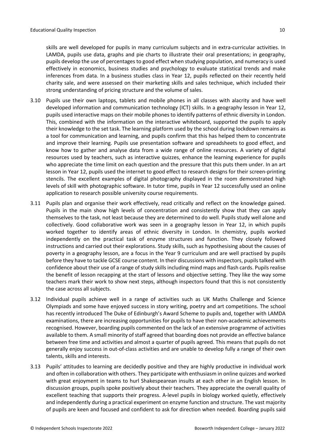3.10 Pupils use their own laptops, tablets and mobile phones in all classes with alacrity and have well developed information and communication technology (ICT) skills. In a geography lesson in Year 12, pupils used interactive maps on their mobile phones to identify patterns of ethnic diversity in London. This, combined with the information on the interactive whiteboard, supported the pupils to apply their knowledge to the set task. The learning platform used by the school during lockdown remains as a tool for communication and learning, and pupils confirm that this has helped them to concentrate and improve their learning. Pupils use presentation software and spreadsheets to good effect, and know how to gather and analyse data from a wide range of online resources. A variety of digital resources used by teachers, such as interactive quizzes, enhance the learning experience for pupils who appreciate the time limit on each question and the pressure that this puts them under. In an art lesson in Year 12, pupils used the internet to good effect to research designs for their screen-printing stencils. The excellent examples of digital photography displayed in the room demonstrated high levels of skill with photographic software. In tutor time, pupils in Year 12 successfully used an online application to research possible university course requirements.

strong understanding of pricing structure and the volume of sales.

- 3.11 Pupils plan and organise their work effectively, read critically and reflect on the knowledge gained. Pupils in the main show high levels of concentration and consistently show that they can apply themselves to the task, not least because they are determined to do well. Pupils study well alone and collectively. Good collaborative work was seen in a geography lesson in Year 12, in which pupils worked together to identify areas of ethnic diversity in London. In chemistry, pupils worked independently on the practical task of enzyme structures and function. They closely followed instructions and carried out their explorations. Study skills, such as hypothesising about the causes of poverty in a geography lesson, are a focus in the Year 9 curriculum and are well practised by pupils before they have to tackle GCSE course content. In their discussions with inspectors, pupils talked with confidence about their use of a range of study skills including mind maps and flash cards. Pupils realise the benefit of lesson recapping at the start of lessons and objective setting. They like the way some teachers mark their work to show next steps, although inspectors found that this is not consistently the case across all subjects.
- 3.12 Individual pupils achieve well in a range of activities such as UK Maths Challenge and Science Olympiads and some have enjoyed success in story writing, poetry and art competitions. The school has recently introduced The Duke of Edinburgh's Award Scheme to pupils and, together with LAMDA examinations, there are increasing opportunities for pupils to have their non-academic achievements recognised. However, boarding pupils commented on the lack of an extensive programme of activities available to them. A small minority of staff agreed that boarding does not provide an effective balance between free time and activities and almost a quarter of pupils agreed. This means that pupils do not generally enjoy success in out-of-class activities and are unable to develop fully a range of their own talents, skills and interests.
- 3.13 Pupils' attitudes to learning are decidedly positive and they are highly productive in individual work and often in collaboration with others. They participate with enthusiasm in online quizzes and worked with great enjoyment in teams to hurl Shakespearean insults at each other in an English lesson. In discussion groups, pupils spoke positively about their teachers. They appreciate the overall quality of excellent teaching that supports their progress. A-level pupils in biology worked quietly, effectively and independently during a practical experiment on enzyme function and structure. The vast majority of pupils are keen and focused and confident to ask for direction when needed. Boarding pupils said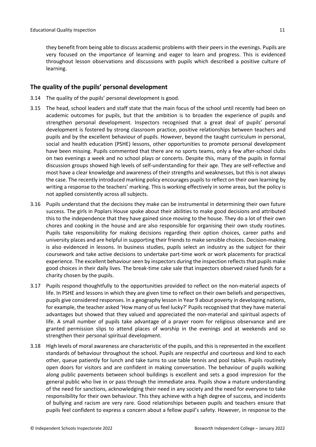#### <span id="page-10-0"></span>**The quality of the pupils' personal development**

- 3.14 The quality of the pupils' personal development is good.
- 3.15 The head, school leaders and staff state that the main focus of the school until recently had been on academic outcomes for pupils, but that the ambition is to broaden the experience of pupils and strengthen personal development. Inspectors recognised that a great deal of pupils' personal development is fostered by strong classroom practice, positive relationships between teachers and pupils and by the excellent behaviour of pupils. However, beyond the taught curriculum in personal, social and health education (PSHE) lessons, other opportunities to promote personal development have been missing. Pupils commented that there are no sports teams, only a few after-school clubs on two evenings a week and no school plays or concerts. Despite this, many of the pupils in formal discussion groups showed high levels of self-understanding for their age. They are self-reflective and most have a clear knowledge and awareness of their strengths and weaknesses, but this is not always the case. The recently introduced marking policy encourages pupils to reflect on their own learning by writing a response to the teachers' marking. This is working effectively in some areas, but the policy is not applied consistently across all subjects.
- 3.16 Pupils understand that the decisions they make can be instrumental in determining their own future success. The girls in Poplars House spoke about their abilities to make good decisions and attributed this to the independence that they have gained since moving to the house. They do a lot of their own chores and cooking in the house and are also responsible for organising their own study routines. Pupils take responsibility for making decisions regarding their option choices, career paths and university places and are helpful in supporting their friends to make sensible choices. Decision-making is also evidenced in lessons. In business studies, pupils select an industry as the subject for their coursework and take active decisions to undertake part-time work or work placements for practical experience. The excellent behaviour seen by inspectors during the inspection reflects that pupils make good choices in their daily lives. The break-time cake sale that inspectors observed raised funds for a charity chosen by the pupils.
- 3.17 Pupils respond thoughtfully to the opportunities provided to reflect on the non-material aspects of life. In PSHE and lessons in which they are given time to reflect on their own beliefs and perspectives, pupils give considered responses. In a geography lesson in Year 9 about poverty in developing nations, for example, the teacher asked 'How many of us feel lucky?' Pupils recognised that they have material advantages but showed that they valued and appreciated the non-material and spiritual aspects of life. A small number of pupils take advantage of a prayer room for religious observance and are granted permission slips to attend places of worship in the evenings and at weekends and so strengthen their personal spiritual development.
- 3.18 High levels of moral awareness are characteristic of the pupils, and this is represented in the excellent standards of behaviour throughout the school. Pupils are respectful and courteous and kind to each other, queue patiently for lunch and take turns to use table tennis and pool tables. Pupils routinely open doors for visitors and are confident in making conversation. The behaviour of pupils walking along public pavements between school buildings is excellent and sets a good impression for the general public who live in or pass through the immediate area. Pupils show a mature understanding of the need for sanctions, acknowledging their need in any society and the need for everyone to take responsibility for their own behaviour. This they achieve with a high degree of success, and incidents of bullying and racism are very rare. Good relationships between pupils and teachers ensure that pupils feel confident to express a concern about a fellow pupil's safety. However, in response to the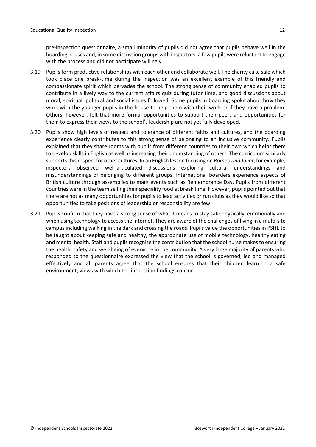pre-inspection questionnaire, a small minority of pupils did not agree that pupils behave well in the boarding houses and, in some discussion groups with inspectors, a few pupils were reluctant to engage with the process and did not participate willingly.

- 3.19 Pupils form productive relationships with each other and collaborate well. The charity cake sale which took place one break-time during the inspection was an excellent example of this friendly and compassionate spirit which pervades the school. The strong sense of community enabled pupils to contribute in a lively way to the current affairs quiz during tutor time, and good discussions about moral, spiritual, political and social issues followed. Some pupils in boarding spoke about how they work with the younger pupils in the house to help them with their work or if they have a problem. Others, however, felt that more formal opportunities to support their peers and opportunities for them to express their views to the school's leadership are not yet fully developed.
- 3.20 Pupils show high levels of respect and tolerance of different faiths and cultures, and the boarding experience clearly contributes to this strong sense of belonging to an inclusive community. Pupils explained that they share rooms with pupils from different countries to their own which helps them to develop skills in English as well as increasing their understanding of others. The curriculum similarly supports this respect for other cultures. In an English lesson focusing on *Romeo and Juliet*, for example, inspectors observed well-articulated discussions exploring cultural understandings and misunderstandings of belonging to different groups. International boarders experience aspects of British culture through assemblies to mark events such as Remembrance Day. Pupils from different countries were in the team selling their speciality food at break time. However, pupils pointed out that there are not as many opportunities for pupils to lead activities or run clubs as they would like so that opportunities to take positions of leadership or responsibility are few.
- 3.21 Pupils confirm that they have a strong sense of what it means to stay safe physically, emotionally and when using technology to access the internet. They are aware of the challenges of living in a multi-site campus including walking in the dark and crossing the roads. Pupils value the opportunities in PSHE to be taught about keeping safe and healthy, the appropriate use of mobile technology, healthy eating and mental health. Staff and pupils recognise the contribution that the school nurse makes to ensuring the health, safety and well-being of everyone in the community. A very large majority of parents who responded to the questionnaire expressed the view that the school is governed, led and managed effectively and all parents agree that the school ensures that their children learn in a safe environment, views with which the inspection findings concur.